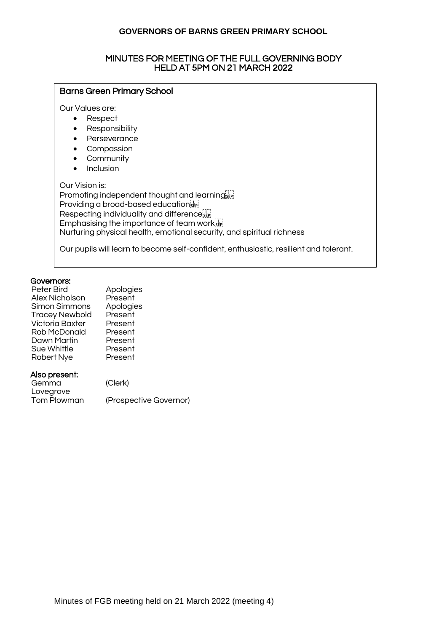#### MINUTES FOR MEETING OF THE FULL GOVERNING BODY HELD AT 5PM ON 21 MARCH 2022

# Barns Green Primary School Our Values are: • Respect • Responsibility • Perseverance • Compassion • Community • Inclusion Our Vision is: Promoting independent thought and learning sep-Providing a broad-based educationsEP Respecting individuality and difference<sup>[11]</sup> Emphasising the importance of team work ET Nurturing physical health, emotional security, and spiritual richness Our pupils will learn to become self-confident, enthusiastic, resilient and tolerant.

#### Governors:

| Peter Bird            | Apologies |
|-----------------------|-----------|
| Alex Nicholson        | Present   |
| Simon Simmons         | Apologies |
| <b>Tracey Newbold</b> | Present   |
| Victoria Baxter       | Present   |
| Rob McDonald          | Present   |
| Dawn Martin           | Present   |
| Sue Whittle           | Present   |
| Robert Nye            | Present   |
|                       |           |

#### Also present:

| Gemma       | (Clerk)                |
|-------------|------------------------|
| Lovegrove   |                        |
| Tom Plowman | (Prospective Governor) |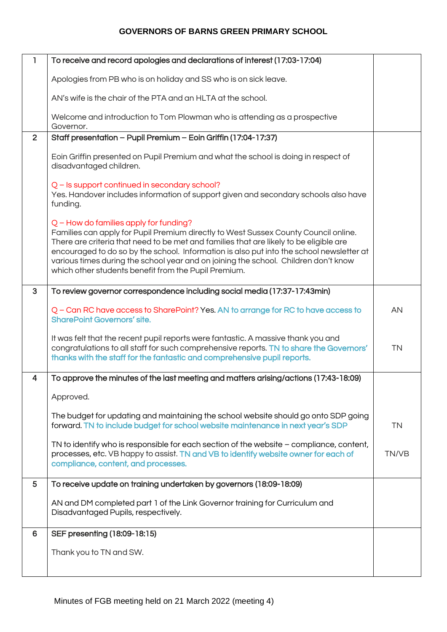| $\mathbf{I}$   | To receive and record apologies and declarations of interest (17:03-17:04)                                                                                                                                                                                                                                                                                                                                                                                           |           |
|----------------|----------------------------------------------------------------------------------------------------------------------------------------------------------------------------------------------------------------------------------------------------------------------------------------------------------------------------------------------------------------------------------------------------------------------------------------------------------------------|-----------|
|                | Apologies from PB who is on holiday and SS who is on sick leave.                                                                                                                                                                                                                                                                                                                                                                                                     |           |
|                | AN's wife is the chair of the PTA and an HLTA at the school.                                                                                                                                                                                                                                                                                                                                                                                                         |           |
|                | Welcome and introduction to Tom Plowman who is attending as a prospective<br>Governor.                                                                                                                                                                                                                                                                                                                                                                               |           |
| $\overline{2}$ | Staff presentation - Pupil Premium - Eoin Griffin (17:04-17:37)                                                                                                                                                                                                                                                                                                                                                                                                      |           |
|                | Eoin Griffin presented on Pupil Premium and what the school is doing in respect of<br>disadvantaged children.                                                                                                                                                                                                                                                                                                                                                        |           |
|                | Q - Is support continued in secondary school?<br>Yes. Handover includes information of support given and secondary schools also have<br>funding.                                                                                                                                                                                                                                                                                                                     |           |
|                | $Q$ – How do families apply for funding?<br>Families can apply for Pupil Premium directly to West Sussex County Council online.<br>There are criteria that need to be met and families that are likely to be eligible are<br>encouraged to do so by the school. Information is also put into the school newsletter at<br>various times during the school year and on joining the school. Children don't know<br>which other students benefit from the Pupil Premium. |           |
| 3              | To review governor correspondence including social media (17:37-17:43min)                                                                                                                                                                                                                                                                                                                                                                                            |           |
|                | Q – Can RC have access to SharePoint? Yes. AN to arrange for RC to have access to<br><b>SharePoint Governors' site.</b>                                                                                                                                                                                                                                                                                                                                              | AN        |
|                | It was felt that the recent pupil reports were fantastic. A massive thank you and<br>congratulations to all staff for such comprehensive reports. TN to share the Governors'<br>thanks with the staff for the fantastic and comprehensive pupil reports.                                                                                                                                                                                                             | <b>TN</b> |
| 4              | To approve the minutes of the last meeting and matters arising/actions (17:43-18:09)                                                                                                                                                                                                                                                                                                                                                                                 |           |
|                | Approved.                                                                                                                                                                                                                                                                                                                                                                                                                                                            |           |
|                | The budget for updating and maintaining the school website should go onto SDP going<br>forward. TN to include budget for school website maintenance in next year's SDP                                                                                                                                                                                                                                                                                               | <b>TN</b> |
|                | TN to identify who is responsible for each section of the website - compliance, content,<br>processes, etc. VB happy to assist. TN and VB to identify website owner for each of<br>compliance, content, and processes.                                                                                                                                                                                                                                               | TN/VB     |
| 5              | To receive update on training undertaken by governors (18:09-18:09)                                                                                                                                                                                                                                                                                                                                                                                                  |           |
|                | AN and DM completed part 1 of the Link Governor training for Curriculum and<br>Disadvantaged Pupils, respectively.                                                                                                                                                                                                                                                                                                                                                   |           |
| 6              | SEF presenting (18:09-18:15)                                                                                                                                                                                                                                                                                                                                                                                                                                         |           |
|                | Thank you to TN and SW.                                                                                                                                                                                                                                                                                                                                                                                                                                              |           |
|                |                                                                                                                                                                                                                                                                                                                                                                                                                                                                      |           |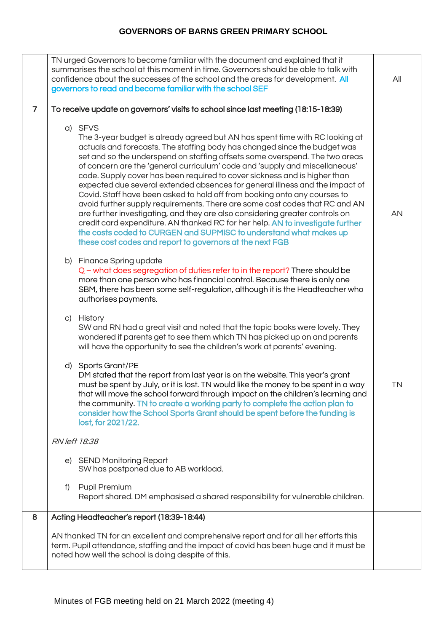|                | TN urged Governors to become familiar with the document and explained that it<br>summarises the school at this moment in time. Governors should be able to talk with<br>confidence about the successes of the school and the areas for development. All<br>governors to read and become familiar with the school SEF                                                                                                                                                                                                                                                                                                                                                                                                                                                                                                                                                                                                                                           | All |
|----------------|----------------------------------------------------------------------------------------------------------------------------------------------------------------------------------------------------------------------------------------------------------------------------------------------------------------------------------------------------------------------------------------------------------------------------------------------------------------------------------------------------------------------------------------------------------------------------------------------------------------------------------------------------------------------------------------------------------------------------------------------------------------------------------------------------------------------------------------------------------------------------------------------------------------------------------------------------------------|-----|
| $\overline{7}$ | To receive update on governors' visits to school since last meeting (18:15-18:39)                                                                                                                                                                                                                                                                                                                                                                                                                                                                                                                                                                                                                                                                                                                                                                                                                                                                              |     |
|                | a) SFVS<br>The 3-year budget is already agreed but AN has spent time with RC looking at<br>actuals and forecasts. The staffing body has changed since the budget was<br>set and so the underspend on staffing offsets some overspend. The two areas<br>of concern are the 'general curriculum' code and 'supply and miscellaneous'<br>code. Supply cover has been required to cover sickness and is higher than<br>expected due several extended absences for general illness and the impact of<br>Covid. Staff have been asked to hold off from booking onto any courses to<br>avoid further supply requirements. There are some cost codes that RC and AN<br>are further investigating, and they are also considering greater controls on<br>credit card expenditure. AN thanked RC for her help. AN to investigate further<br>the costs coded to CURGEN and SUPMISC to understand what makes up<br>these cost codes and report to governors at the next FGB | AN  |
|                | b) Finance Spring update<br>Q – what does segregation of duties refer to in the report? There should be<br>more than one person who has financial control. Because there is only one<br>SBM, there has been some self-regulation, although it is the Headteacher who<br>authorises payments.                                                                                                                                                                                                                                                                                                                                                                                                                                                                                                                                                                                                                                                                   |     |
|                | c) History<br>SW and RN had a great visit and noted that the topic books were lovely. They<br>wondered if parents get to see them which TN has picked up on and parents<br>will have the opportunity to see the children's work at parents' evening.                                                                                                                                                                                                                                                                                                                                                                                                                                                                                                                                                                                                                                                                                                           |     |
|                | d) Sports Grant/PE<br>DM stated that the report from last year is on the website. This year's grant<br>must be spent by July, or it is lost. TN would like the money to be spent in a way<br>that will move the school forward through impact on the children's learning and<br>the community. TN to create a working party to complete the action plan to<br>consider how the School Sports Grant should be spent before the funding is<br>lost, for 2021/22.                                                                                                                                                                                                                                                                                                                                                                                                                                                                                                 | TN  |
|                | RN left 18:38                                                                                                                                                                                                                                                                                                                                                                                                                                                                                                                                                                                                                                                                                                                                                                                                                                                                                                                                                  |     |
|                | e) SEND Monitoring Report<br>SW has postponed due to AB workload.                                                                                                                                                                                                                                                                                                                                                                                                                                                                                                                                                                                                                                                                                                                                                                                                                                                                                              |     |
|                | Pupil Premium<br>f)<br>Report shared. DM emphasised a shared responsibility for vulnerable children.                                                                                                                                                                                                                                                                                                                                                                                                                                                                                                                                                                                                                                                                                                                                                                                                                                                           |     |
| 8              | Acting Headteacher's report (18:39-18:44)                                                                                                                                                                                                                                                                                                                                                                                                                                                                                                                                                                                                                                                                                                                                                                                                                                                                                                                      |     |
|                | AN thanked TN for an excellent and comprehensive report and for all her efforts this<br>term. Pupil attendance, staffing and the impact of covid has been huge and it must be<br>noted how well the school is doing despite of this.                                                                                                                                                                                                                                                                                                                                                                                                                                                                                                                                                                                                                                                                                                                           |     |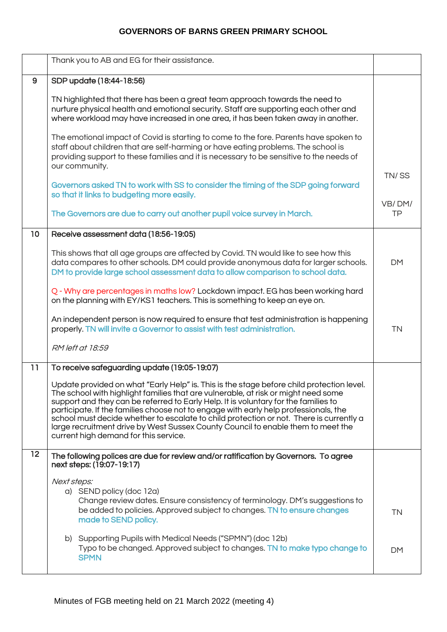|                 | Thank you to AB and EG for their assistance.                                                                                                                                                                                                                                                                                                                                                                                                                                                                                                                                           |              |
|-----------------|----------------------------------------------------------------------------------------------------------------------------------------------------------------------------------------------------------------------------------------------------------------------------------------------------------------------------------------------------------------------------------------------------------------------------------------------------------------------------------------------------------------------------------------------------------------------------------------|--------------|
| 9               | SDP update (18:44-18:56)                                                                                                                                                                                                                                                                                                                                                                                                                                                                                                                                                               |              |
|                 | TN highlighted that there has been a great team approach towards the need to<br>nurture physical health and emotional security. Staff are supporting each other and<br>where workload may have increased in one area, it has been taken away in another.                                                                                                                                                                                                                                                                                                                               |              |
|                 | The emotional impact of Covid is starting to come to the fore. Parents have spoken to<br>staff about children that are self-harming or have eating problems. The school is<br>providing support to these families and it is necessary to be sensitive to the needs of<br>our community.                                                                                                                                                                                                                                                                                                |              |
|                 | Governors asked TN to work with SS to consider the timing of the SDP going forward<br>so that it links to budgeting more easily.                                                                                                                                                                                                                                                                                                                                                                                                                                                       | TN/SS        |
|                 | The Governors are due to carry out another pupil voice survey in March.                                                                                                                                                                                                                                                                                                                                                                                                                                                                                                                | VB/DM/<br>TP |
| 10 <sub>o</sub> | Receive assessment data (18:56-19:05)                                                                                                                                                                                                                                                                                                                                                                                                                                                                                                                                                  |              |
|                 | This shows that all age groups are affected by Covid. TN would like to see how this<br>data compares to other schools. DM could provide anonymous data for larger schools.<br>DM to provide large school assessment data to allow comparison to school data.                                                                                                                                                                                                                                                                                                                           | <b>DM</b>    |
|                 | Q - Why are percentages in maths low? Lockdown impact. EG has been working hard<br>on the planning with EY/KS1 teachers. This is something to keep an eye on.                                                                                                                                                                                                                                                                                                                                                                                                                          |              |
|                 | An independent person is now required to ensure that test administration is happening<br>properly. TN will invite a Governor to assist with test administration.                                                                                                                                                                                                                                                                                                                                                                                                                       | <b>TN</b>    |
|                 | RM left at 18:59                                                                                                                                                                                                                                                                                                                                                                                                                                                                                                                                                                       |              |
| 11              | To receive safeguarding update (19:05-19:07)                                                                                                                                                                                                                                                                                                                                                                                                                                                                                                                                           |              |
|                 | Update provided on what "Early Help" is. This is the stage before child protection level.<br>The school with highlight families that are vulnerable, at risk or might need some<br>support and they can be referred to Early Help. It is voluntary for the families to<br>participate. If the families choose not to engage with early help professionals, the<br>school must decide whether to escalate to child protection or not. There is currently a<br>large recruitment drive by West Sussex County Council to enable them to meet the<br>current high demand for this service. |              |
| 12              | The following polices are due for review and/or ratification by Governors. To agree<br>next steps: (19:07-19:17)                                                                                                                                                                                                                                                                                                                                                                                                                                                                       |              |
|                 | Next steps:<br>a) SEND policy (doc 12a)<br>Change review dates. Ensure consistency of terminology. DM's suggestions to<br>be added to policies. Approved subject to changes. TN to ensure changes<br>made to SEND policy.                                                                                                                                                                                                                                                                                                                                                              | <b>TN</b>    |
|                 | b) Supporting Pupils with Medical Needs ("SPMN") (doc 12b)<br>Typo to be changed. Approved subject to changes. TN to make typo change to<br><b>SPMN</b>                                                                                                                                                                                                                                                                                                                                                                                                                                | <b>DM</b>    |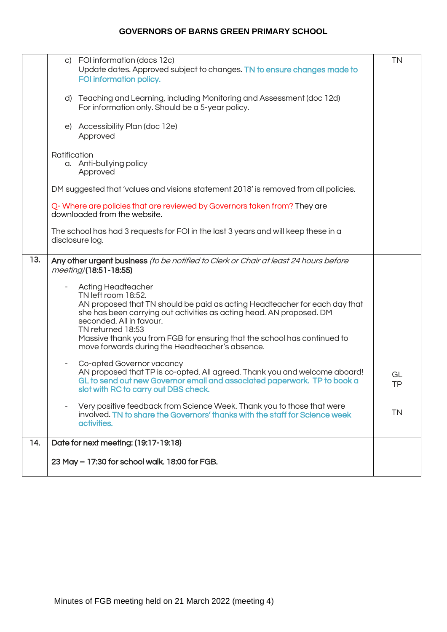|     | c) FOI information (docs 12c)<br>Update dates. Approved subject to changes. TN to ensure changes made to<br>FOI information policy.                                                                                                                                                                                                                                                    | <b>TN</b> |
|-----|----------------------------------------------------------------------------------------------------------------------------------------------------------------------------------------------------------------------------------------------------------------------------------------------------------------------------------------------------------------------------------------|-----------|
|     | d) Teaching and Learning, including Monitoring and Assessment (doc 12d)<br>For information only. Should be a 5-year policy.                                                                                                                                                                                                                                                            |           |
|     | e) Accessibility Plan (doc 12e)<br>Approved                                                                                                                                                                                                                                                                                                                                            |           |
|     | Ratification<br>a. Anti-bullying policy<br>Approved                                                                                                                                                                                                                                                                                                                                    |           |
|     | DM suggested that 'values and visions statement 2018' is removed from all policies.                                                                                                                                                                                                                                                                                                    |           |
|     | Q-Where are policies that are reviewed by Governors taken from? They are<br>downloaded from the website.                                                                                                                                                                                                                                                                               |           |
|     | The school has had 3 requests for FOI in the last 3 years and will keep these in a<br>disclosure log.                                                                                                                                                                                                                                                                                  |           |
| 13. | Any other urgent business (to be notified to Clerk or Chair at least 24 hours before<br>meeting)(18:51-18:55)                                                                                                                                                                                                                                                                          |           |
|     | <b>Acting Headteacher</b><br>TN left room 18:52.<br>AN proposed that TN should be paid as acting Headteacher for each day that<br>she has been carrying out activities as acting head. AN proposed. DM<br>seconded. All in favour.<br>TN returned 18:53<br>Massive thank you from FGB for ensuring that the school has continued to<br>move forwards during the Headteacher's absence. |           |
|     | Co-opted Governor vacancy<br>AN proposed that TP is co-opted. All agreed. Thank you and welcome aboard!<br>GL to send out new Governor email and associated paperwork. TP to book a<br>slot with RC to carry out DBS check.                                                                                                                                                            | GL<br>ΤP  |
|     | Very positive feedback from Science Week. Thank you to those that were<br>involved. TN to share the Governors' thanks with the staff for Science week<br>activities.                                                                                                                                                                                                                   | <b>TN</b> |
| 14. | Date for next meeting: (19:17-19:18)                                                                                                                                                                                                                                                                                                                                                   |           |
|     | 23 May - 17:30 for school walk. 18:00 for FGB.                                                                                                                                                                                                                                                                                                                                         |           |
|     |                                                                                                                                                                                                                                                                                                                                                                                        |           |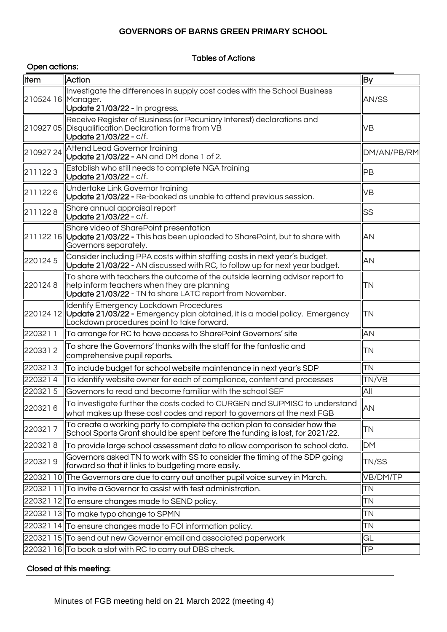### Tables of Actions

|                    | Open actions:                                                                                                                                                                           |              |  |  |
|--------------------|-----------------------------------------------------------------------------------------------------------------------------------------------------------------------------------------|--------------|--|--|
| Item               | <b>Action</b>                                                                                                                                                                           | <b>By</b>    |  |  |
| 210524 16 Manager. | Investigate the differences in supply cost codes with the School Business<br>Update 21/03/22 - In progress.                                                                             | AN/SS        |  |  |
|                    | Receive Register of Business (or Pecuniary Interest) declarations and<br>210927 05 Disqualification Declaration forms from VB<br>Update 21/03/22 - c/f.                                 | VB           |  |  |
| 21092724           | <b>Attend Lead Governor training</b><br> Update 21/03/22 - AN and DM done 1 of 2.                                                                                                       | DM/AN/PB/RM  |  |  |
| 2111223            | Establish who still needs to complete NGA training<br>Update 21/03/22 - c/f.                                                                                                            | PB           |  |  |
| 2111226            | Undertake Link Governor training<br>Update 21/03/22 - Re-booked as unable to attend previous session.                                                                                   | <b>VB</b>    |  |  |
| 2111228            | Share annual appraisal report<br>Update 21/03/22 - c/f.                                                                                                                                 | <b>SS</b>    |  |  |
|                    | Share video of SharePoint presentation<br>211122 16 Update 21/03/22 - This has been uploaded to SharePoint, but to share with<br>Governors separately.                                  | AN           |  |  |
| 2201245            | Consider including PPA costs within staffing costs in next year's budget.<br>Update 21/03/22 - AN discussed with RC, to follow up for next year budget.                                 | AN           |  |  |
| 2201248            | To share with teachers the outcome of the outside learning advisor report to<br>help inform teachers when they are planning<br>Update 21/03/22 - TN to share LATC report from November. | <b>TN</b>    |  |  |
|                    | <b>Identify Emergency Lockdown Procedures</b><br>220124 12 Update 21/03/22 - Emergency plan obtained, it is a model policy. Emergency<br>Lockdown procedures point to take forward.     | TN           |  |  |
| 2203211            | To arrange for RC to have access to SharePoint Governors' site                                                                                                                          | AN           |  |  |
| 2203312            | To share the Governors' thanks with the staff for the fantastic and<br>comprehensive pupil reports.                                                                                     | <b>TN</b>    |  |  |
| 2203213            | To include budget for school website maintenance in next year's SDP                                                                                                                     | <b>TN</b>    |  |  |
| 2203214            | To identify website owner for each of compliance, content and processes                                                                                                                 | <b>TN/VB</b> |  |  |
| 2203215            | Governors to read and become familiar with the school SEF                                                                                                                               | All          |  |  |
| 2203216            | $\parallel$ To investigate further the costs coded to CURGEN and SUPMISC to understand<br>what makes up these cost codes and report to governors at the next FGB                        | AN           |  |  |
| 2203217            | To create a working party to complete the action plan to consider how the<br>School Sports Grant should be spent before the funding is lost, for 2021/22.                               | <b>TN</b>    |  |  |
| 2203218            | $\parallel$ To provide large school assessment data to allow comparison to school data.                                                                                                 | <b>DM</b>    |  |  |
| 2203219            | Governors asked TN to work with SS to consider the timing of the SDP going<br>forward so that it links to budgeting more easily.                                                        | TN/SS        |  |  |
|                    | 220321 10 The Governors are due to carry out another pupil voice survey in March.                                                                                                       | VB/DM/TP     |  |  |
|                    | 220321 11 To invite a Governor to assist with test administration.                                                                                                                      | <b>TN</b>    |  |  |
|                    | 220321 12 To ensure changes made to SEND policy.                                                                                                                                        | <b>TN</b>    |  |  |
|                    | 220321 13 To make typo change to SPMN                                                                                                                                                   | TN           |  |  |
|                    | 220321 14 To ensure changes made to FOI information policy.                                                                                                                             | TN           |  |  |
|                    | 220321 15 To send out new Governor email and associated paperwork                                                                                                                       | GL           |  |  |
|                    | 220321 16 To book a slot with RC to carry out DBS check.                                                                                                                                | <b>TP</b>    |  |  |

### Closed at this meeting: